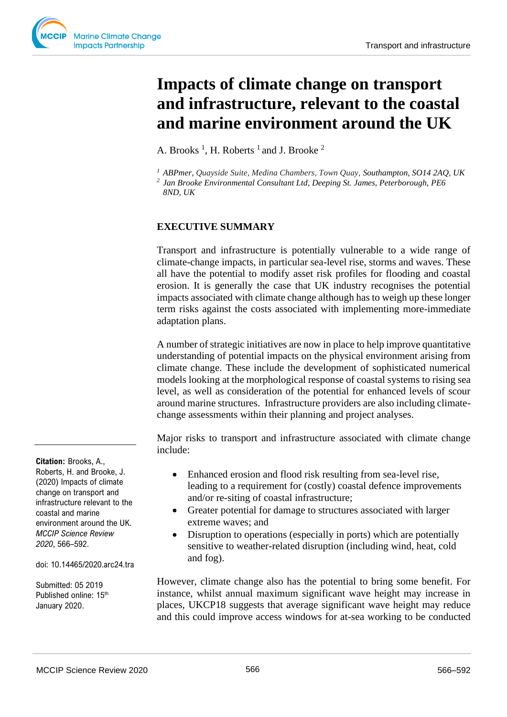# **Impacts of climate change on transport and infrastructure, relevant to the coastal and marine environment around the UK**

A. Brooks<sup>1</sup>, H. Roberts<sup>1</sup> and J. Brooke<sup>2</sup>

*<sup>1</sup> ABPmer, Quayside Suite, Medina Chambers, Town Quay, Southampton, SO14 2AQ, UK 2 Jan Brooke Environmental Consultant Ltd, Deeping St. James, Peterborough, PE6* 

*8ND, UK*

## **EXECUTIVE SUMMARY**

Transport and infrastructure is potentially vulnerable to a wide range of climate-change impacts, in particular sea-level rise, storms and waves. These all have the potential to modify asset risk profiles for flooding and coastal erosion. It is generally the case that UK industry recognises the potential impacts associated with climate change although has to weigh up these longer term risks against the costs associated with implementing more-immediate adaptation plans.

A number of strategic initiatives are now in place to help improve quantitative understanding of potential impacts on the physical environment arising from climate change. These include the development of sophisticated numerical models looking at the morphological response of coastal systems to rising sea level, as well as consideration of the potential for enhanced levels of scour around marine structures. Infrastructure providers are also including climatechange assessments within their planning and project analyses.

Major risks to transport and infrastructure associated with climate change include:

- Enhanced erosion and flood risk resulting from sea-level rise, leading to a requirement for (costly) coastal defence improvements and/or re-siting of coastal infrastructure;
- Greater potential for damage to structures associated with larger extreme waves; and
- Disruption to operations (especially in ports) which are potentially sensitive to weather-related disruption (including wind, heat, cold and fog).

However, climate change also has the potential to bring some benefit. For instance, whilst annual maximum significant wave height may increase in places, UKCP18 suggests that average significant wave height may reduce and this could improve access windows for at-sea working to be conducted

**Citation:** Brooks, A., Roberts, H. and Brooke, J. (2020) Impacts of climate change on transport and infrastructure relevant to the coastal and marine environment around the UK. *MCCIP Science Review 2020*, 566–592.

doi: 10.14465/2020.arc24.tra

Submitted: 05 2019 Published online: 15<sup>th</sup> January 2020.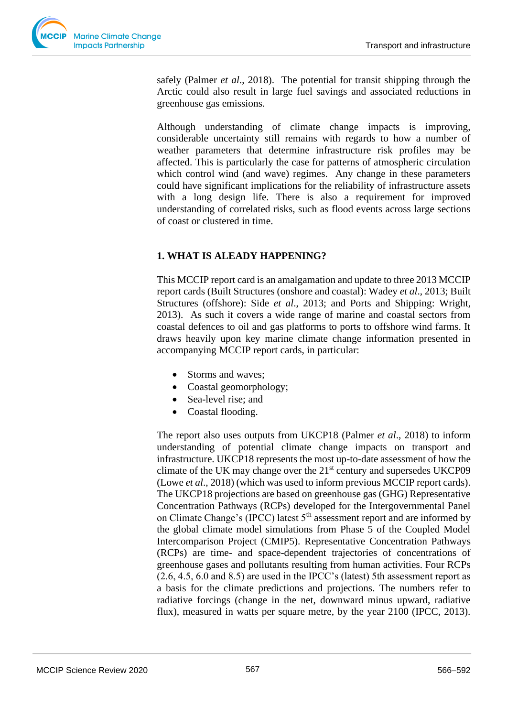

safely (Palmer *et al*., 2018). The potential for transit shipping through the Arctic could also result in large fuel savings and associated reductions in greenhouse gas emissions.

Although understanding of climate change impacts is improving, considerable uncertainty still remains with regards to how a number of weather parameters that determine infrastructure risk profiles may be affected. This is particularly the case for patterns of atmospheric circulation which control wind (and wave) regimes. Any change in these parameters could have significant implications for the reliability of infrastructure assets with a long design life. There is also a requirement for improved understanding of correlated risks, such as flood events across large sections of coast or clustered in time.

## **1. WHAT IS ALEADY HAPPENING?**

This MCCIP report card is an amalgamation and update to three 2013 MCCIP report cards (Built Structures (onshore and coastal): Wadey *et al*., 2013; Built Structures (offshore): Side *et al*., 2013; and Ports and Shipping: Wright, 2013). As such it covers a wide range of marine and coastal sectors from coastal defences to oil and gas platforms to ports to offshore wind farms. It draws heavily upon key marine climate change information presented in accompanying MCCIP report cards, in particular:

- Storms and waves;
- Coastal geomorphology;
- Sea-level rise; and
- Coastal flooding.

The report also uses outputs from UKCP18 (Palmer *et al*., 2018) to inform understanding of potential climate change impacts on transport and infrastructure. UKCP18 represents the most up-to-date assessment of how the climate of the UK may change over the  $21<sup>st</sup>$  century and supersedes UKCP09 (Lowe *et al*., 2018) (which was used to inform previous MCCIP report cards). The UKCP18 projections are based on greenhouse gas (GHG) Representative Concentration Pathways (RCPs) developed for the Intergovernmental Panel on Climate Change's (IPCC) latest 5<sup>th</sup> assessment report and are informed by the global climate model simulations from Phase 5 of the Coupled Model Intercomparison Project (CMIP5). Representative Concentration Pathways (RCPs) are time- and space-dependent trajectories of concentrations of greenhouse gases and pollutants resulting from human activities. Four RCPs (2.6, 4.5, 6.0 and 8.5) are used in the IPCC's (latest) 5th assessment report as a basis for the climate predictions and projections. The numbers refer to radiative forcings (change in the net, downward minus upward, radiative flux), measured in watts per square metre, by the year 2100 (IPCC, 2013).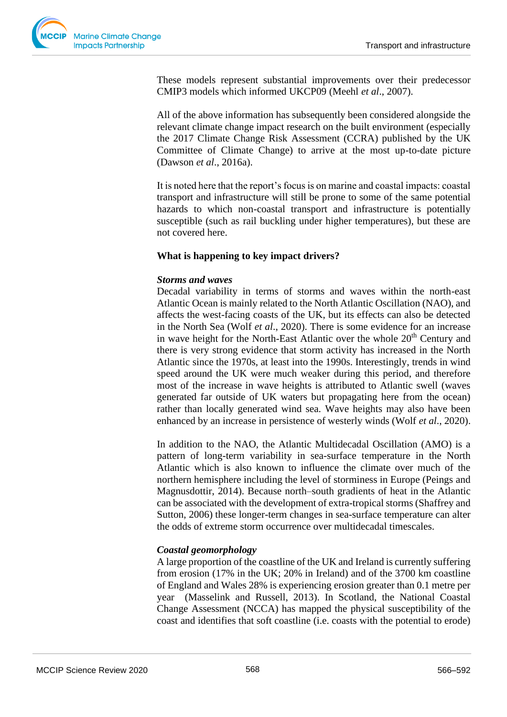

These models represent substantial improvements over their predecessor CMIP3 models which informed UKCP09 (Meehl *et al*., 2007).

All of the above information has subsequently been considered alongside the relevant climate change impact research on the built environment (especially the 2017 Climate Change Risk Assessment (CCRA) published by the UK Committee of Climate Change) to arrive at the most up-to-date picture (Dawson *et al*., 2016a).

It is noted here that the report's focus is on marine and coastal impacts: coastal transport and infrastructure will still be prone to some of the same potential hazards to which non-coastal transport and infrastructure is potentially susceptible (such as rail buckling under higher temperatures), but these are not covered here.

## **What is happening to key impact drivers?**

## *Storms and waves*

Decadal variability in terms of storms and waves within the north-east Atlantic Ocean is mainly related to the North Atlantic Oscillation (NAO), and affects the west-facing coasts of the UK, but its effects can also be detected in the North Sea (Wolf *et al*., 2020). There is some evidence for an increase in wave height for the North-East Atlantic over the whole  $20<sup>th</sup>$  Century and there is very strong evidence that storm activity has increased in the North Atlantic since the 1970s, at least into the 1990s. Interestingly, trends in wind speed around the UK were much weaker during this period, and therefore most of the increase in wave heights is attributed to Atlantic swell (waves generated far outside of UK waters but propagating here from the ocean) rather than locally generated wind sea. Wave heights may also have been enhanced by an increase in persistence of westerly winds (Wolf *et al*., 2020).

In addition to the NAO, the Atlantic Multidecadal Oscillation (AMO) is a pattern of long-term variability in sea-surface temperature in the North Atlantic which is also known to influence the climate over much of the northern hemisphere including the level of storminess in Europe (Peings and Magnusdottir, 2014). Because north–south gradients of heat in the Atlantic can be associated with the development of extra-tropical storms (Shaffrey and Sutton, 2006) these longer-term changes in sea-surface temperature can alter the odds of extreme storm occurrence over multidecadal timescales.

## *Coastal geomorphology*

A large proportion of the coastline of the UK and Ireland is currently suffering from erosion (17% in the UK; 20% in Ireland) and of the 3700 km coastline of England and Wales 28% is experiencing erosion greater than 0.1 metre per year (Masselink and Russell, 2013). In Scotland, the National Coastal Change Assessment (NCCA) has mapped the physical susceptibility of the coast and identifies that soft coastline (i.e. coasts with the potential to erode)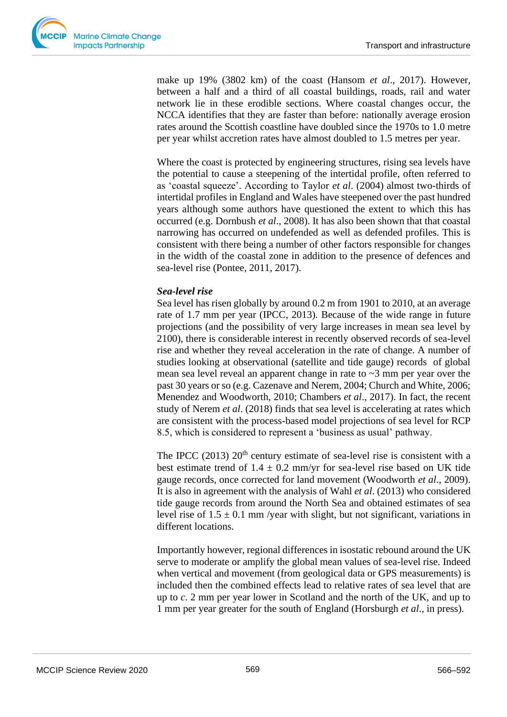

make up 19% (3802 km) of the coast (Hansom *et al*., 2017). However, between a half and a third of all coastal buildings, roads, rail and water network lie in these erodible sections. Where coastal changes occur, the NCCA identifies that they are faster than before: nationally average erosion rates around the Scottish coastline have doubled since the 1970s to 1.0 metre per year whilst accretion rates have almost doubled to 1.5 metres per year.

Where the coast is protected by engineering structures, rising sea levels have the potential to cause a steepening of the intertidal profile, often referred to as 'coastal squeeze'. According to Taylor *et al*. (2004) almost two-thirds of intertidal profiles in England and Wales have steepened over the past hundred years although some authors have questioned the extent to which this has occurred (e.g. Dornbush *et al*., 2008). It has also been shown that that coastal narrowing has occurred on undefended as well as defended profiles. This is consistent with there being a number of other factors responsible for changes in the width of the coastal zone in addition to the presence of defences and sea-level rise (Pontee, 2011, 2017).

## *Sea-level rise*

Sea level has risen globally by around 0.2 m from 1901 to 2010, at an average rate of 1.7 mm per year (IPCC, 2013). Because of the wide range in future projections (and the possibility of very large increases in mean sea level by 2100), there is considerable interest in recently observed records of sea-level rise and whether they reveal acceleration in the rate of change. A number of studies looking at observational (satellite and tide gauge) records of global mean sea level reveal an apparent change in rate to ~3 mm per year over the past 30 years or so (e.g. Cazenave and Nerem, 2004; Church and White, 2006; Menendez and Woodworth, 2010; Chambers *et al*., 2017). In fact, the recent study of Nerem *et al*. (2018) finds that sea level is accelerating at rates which are consistent with the process-based model projections of sea level for RCP 8.5, which is considered to represent a 'business as usual' pathway.

The IPCC (2013)  $20<sup>th</sup>$  century estimate of sea-level rise is consistent with a best estimate trend of  $1.4 \pm 0.2$  mm/yr for sea-level rise based on UK tide gauge records, once corrected for land movement (Woodworth *et al*., 2009). It is also in agreement with the analysis of Wahl *et al*. (2013) who considered tide gauge records from around the North Sea and obtained estimates of sea level rise of  $1.5 \pm 0.1$  mm /year with slight, but not significant, variations in different locations.

Importantly however, regional differences in isostatic rebound around the UK serve to moderate or amplify the global mean values of sea-level rise. Indeed when vertical and movement (from geological data or GPS measurements) is included then the combined effects lead to relative rates of sea level that are up to *c*. 2 mm per year lower in Scotland and the north of the UK, and up to 1 mm per year greater for the south of England (Horsburgh *et al*., in press).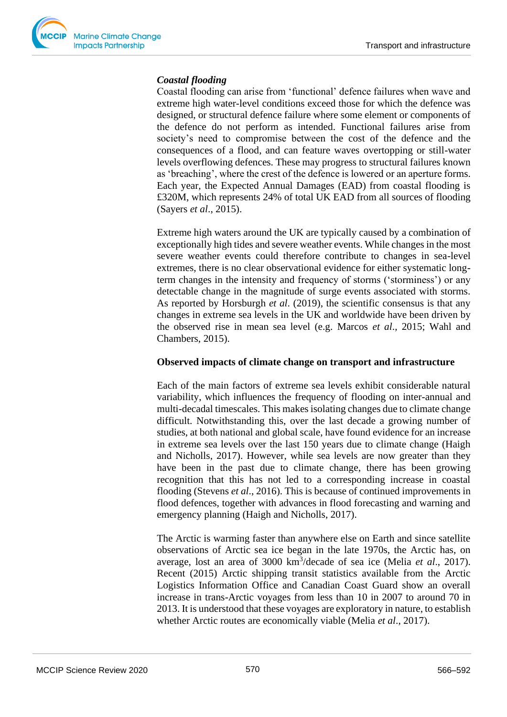## *Coastal flooding*

Coastal flooding can arise from 'functional' defence failures when wave and extreme high water-level conditions exceed those for which the defence was designed, or structural defence failure where some element or components of the defence do not perform as intended. Functional failures arise from society's need to compromise between the cost of the defence and the consequences of a flood, and can feature waves overtopping or still-water levels overflowing defences. These may progress to structural failures known as 'breaching', where the crest of the defence is lowered or an aperture forms. Each year, the Expected Annual Damages (EAD) from coastal flooding is £320M, which represents 24% of total UK EAD from all sources of flooding (Sayers *et al*., 2015).

Extreme high waters around the UK are typically caused by a combination of exceptionally high tides and severe weather events. While changes in the most severe weather events could therefore contribute to changes in sea-level extremes, there is no clear observational evidence for either systematic longterm changes in the intensity and frequency of storms ('storminess') or any detectable change in the magnitude of surge events associated with storms. As reported by Horsburgh *et al*. (2019), the scientific consensus is that any changes in extreme sea levels in the UK and worldwide have been driven by the observed rise in mean sea level (e.g. Marcos *et al*., 2015; Wahl and Chambers, 2015).

## **Observed impacts of climate change on transport and infrastructure**

Each of the main factors of extreme sea levels exhibit considerable natural variability, which influences the frequency of flooding on inter-annual and multi-decadal timescales. This makes isolating changes due to climate change difficult. Notwithstanding this, over the last decade a growing number of studies, at both national and global scale, have found evidence for an increase in extreme sea levels over the last 150 years due to climate change (Haigh and Nicholls, 2017). However, while sea levels are now greater than they have been in the past due to climate change, there has been growing recognition that this has not led to a corresponding increase in coastal flooding (Stevens *et al*., 2016). This is because of continued improvements in flood defences, together with advances in flood forecasting and warning and emergency planning (Haigh and Nicholls, 2017).

The Arctic is warming faster than anywhere else on Earth and since satellite observations of Arctic sea ice began in the late 1970s, the Arctic has, on average, lost an area of 3000 km<sup>3</sup>/decade of sea ice (Melia *et al.*, 2017). Recent (2015) Arctic shipping transit statistics available from the Arctic Logistics Information Office and Canadian Coast Guard show an overall increase in trans-Arctic voyages from less than 10 in 2007 to around 70 in 2013. It is understood that these voyages are exploratory in nature, to establish whether Arctic routes are economically viable (Melia *et al*., 2017).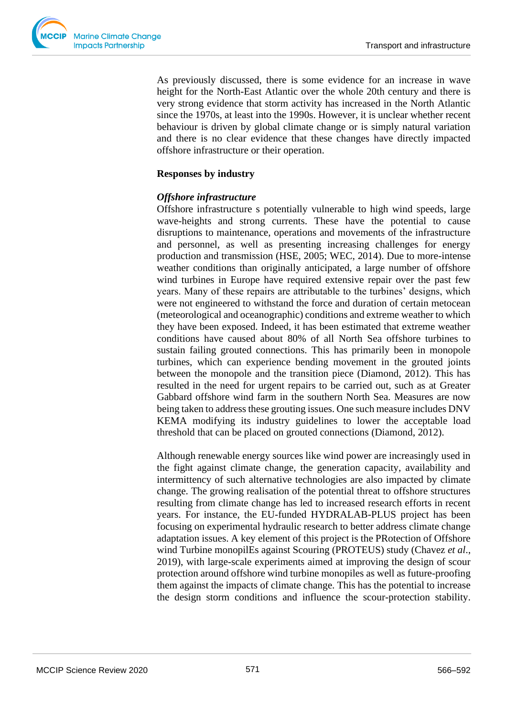As previously discussed, there is some evidence for an increase in wave height for the North-East Atlantic over the whole 20th century and there is very strong evidence that storm activity has increased in the North Atlantic since the 1970s, at least into the 1990s. However, it is unclear whether recent behaviour is driven by global climate change or is simply natural variation and there is no clear evidence that these changes have directly impacted offshore infrastructure or their operation.

#### **Responses by industry**

## *Offshore infrastructure*

Offshore infrastructure s potentially vulnerable to high wind speeds, large wave-heights and strong currents. These have the potential to cause disruptions to maintenance, operations and movements of the infrastructure and personnel, as well as presenting increasing challenges for energy production and transmission (HSE, 2005; WEC, 2014). Due to more-intense weather conditions than originally anticipated, a large number of offshore wind turbines in Europe have required extensive repair over the past few years. Many of these repairs are attributable to the turbines' designs, which were not engineered to withstand the force and duration of certain metocean (meteorological and oceanographic) conditions and extreme weather to which they have been exposed. Indeed, it has been estimated that extreme weather conditions have caused about 80% of all North Sea offshore turbines to sustain failing grouted connections. This has primarily been in monopole turbines, which can experience bending movement in the grouted joints between the monopole and the transition piece (Diamond, 2012). This has resulted in the need for urgent repairs to be carried out, such as at Greater Gabbard offshore wind farm in the southern North Sea. Measures are now being taken to address these grouting issues. One such measure includes DNV KEMA modifying its industry guidelines to lower the acceptable load threshold that can be placed on grouted connections (Diamond, 2012).

Although renewable energy sources like wind power are increasingly used in the fight against climate change, the generation capacity, availability and intermittency of such alternative technologies are also impacted by climate change. The growing realisation of the potential threat to offshore structures resulting from climate change has led to increased research efforts in recent years. For instance, the EU-funded HYDRALAB-PLUS project has been focusing on experimental hydraulic research to better address climate change adaptation issues. A key element of this project is the PRotection of Offshore wind Turbine monopilEs against Scouring (PROTEUS) study (Chavez *et al*., 2019), with large-scale experiments aimed at improving the design of scour protection around offshore wind turbine monopiles as well as future-proofing them against the impacts of climate change. This has the potential to increase the design storm conditions and influence the scour-protection stability.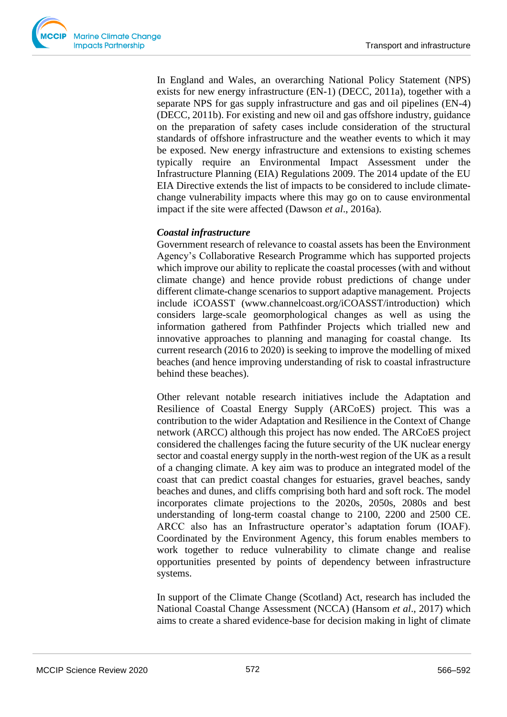In England and Wales, an overarching National Policy Statement (NPS) exists for new energy infrastructure (EN-1) (DECC, 2011a), together with a separate NPS for gas supply infrastructure and gas and oil pipelines (EN-4) (DECC, 2011b). For existing and new oil and gas offshore industry, guidance on the preparation of safety cases include consideration of the structural standards of offshore infrastructure and the weather events to which it may be exposed. New energy infrastructure and extensions to existing schemes typically require an Environmental Impact Assessment under the Infrastructure Planning (EIA) Regulations 2009. The 2014 update of the EU EIA Directive extends the list of impacts to be considered to include climatechange vulnerability impacts where this may go on to cause environmental impact if the site were affected (Dawson *et al*., 2016a).

## *Coastal infrastructure*

Government research of relevance to coastal assets has been the Environment Agency's Collaborative Research Programme which has supported projects which improve our ability to replicate the coastal processes (with and without climate change) and hence provide robust predictions of change under different climate-change scenarios to support adaptive management. Projects include iCOASST (www.channelcoast.org/iCOASST/introduction) which considers large-scale geomorphological changes as well as using the information gathered from Pathfinder Projects which trialled new and innovative approaches to planning and managing for coastal change. Its current research (2016 to 2020) is seeking to improve the modelling of mixed beaches (and hence improving understanding of risk to coastal infrastructure behind these beaches).

Other relevant notable research initiatives include the Adaptation and Resilience of Coastal Energy Supply (ARCoES) project. This was a contribution to the wider Adaptation and Resilience in the Context of Change network (ARCC) although this project has now ended. The ARCoES project considered the challenges facing the future security of the UK nuclear energy sector and coastal energy supply in the north-west region of the UK as a result of a changing climate. A key aim was to produce an integrated model of the coast that can predict coastal changes for estuaries, gravel beaches, sandy beaches and dunes, and cliffs comprising both hard and soft rock. The model incorporates climate projections to the 2020s, 2050s, 2080s and best understanding of long-term coastal change to 2100, 2200 and 2500 CE. ARCC also has an Infrastructure operator's adaptation forum (IOAF). Coordinated by the Environment Agency, this forum enables members to work together to reduce vulnerability to climate change and realise opportunities presented by points of dependency between infrastructure systems.

In support of the Climate Change (Scotland) Act, research has included the National Coastal Change Assessment (NCCA) (Hansom *et al*., 2017) which aims to create a shared evidence-base for decision making in light of climate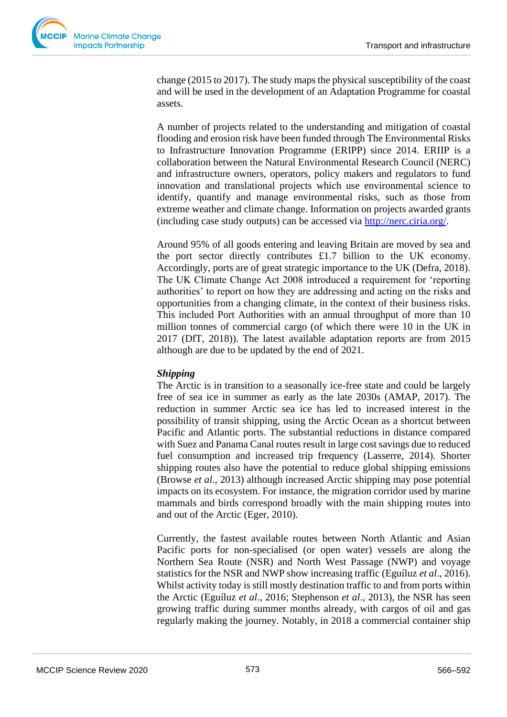

change (2015 to 2017). The study maps the physical susceptibility of the coast and will be used in the development of an Adaptation Programme for coastal assets.

A number of projects related to the understanding and mitigation of coastal flooding and erosion risk have been funded through The Environmental Risks to Infrastructure Innovation Programme (ERIPP) since 2014. ERIIP is a collaboration between the Natural Environmental Research Council (NERC) and infrastructure owners, operators, policy makers and regulators to fund innovation and translational projects which use environmental science to identify, quantify and manage environmental risks, such as those from extreme weather and climate change. Information on projects awarded grants (including case study outputs) can be accessed via [http://nerc.ciria.org/.](http://nerc.ciria.org/)

Around 95% of all goods entering and leaving Britain are moved by sea and the port sector directly contributes £1.7 billion to the UK economy. Accordingly, ports are of great strategic importance to the UK (Defra, 2018). The UK Climate Change Act 2008 introduced a requirement for 'reporting authorities' to report on how they are addressing and acting on the risks and opportunities from a changing climate, in the context of their business risks. This included Port Authorities with an annual throughput of more than 10 million tonnes of commercial cargo (of which there were 10 in the UK in 2017 (DfT, 2018)). The latest available adaptation reports are from 2015 although are due to be updated by the end of 2021.

## *Shipping*

The Arctic is in transition to a seasonally ice-free state and could be largely free of sea ice in summer as early as the late 2030s (AMAP, 2017). The reduction in summer Arctic sea ice has led to increased interest in the possibility of transit shipping, using the Arctic Ocean as a shortcut between Pacific and Atlantic ports. The substantial reductions in distance compared with Suez and Panama Canal routes result in large cost savings due to reduced fuel consumption and increased trip frequency (Lasserre, 2014). Shorter shipping routes also have the potential to reduce global shipping emissions (Browse *et al*., 2013) although increased Arctic shipping may pose potential impacts on its ecosystem. For instance, the migration corridor used by marine mammals and birds correspond broadly with the main shipping routes into and out of the Arctic (Eger, 2010).

Currently, the fastest available routes between North Atlantic and Asian Pacific ports for non-specialised (or open water) vessels are along the Northern Sea Route (NSR) and North West Passage (NWP) and voyage statistics for the NSR and NWP show increasing traffic (Eguíluz *et al*., 2016). Whilst activity today is still mostly destination traffic to and from ports within the Arctic (Eguíluz *et al*., 2016; Stephenson *et al*., 2013), the NSR has seen growing traffic during summer months already, with cargos of oil and gas regularly making the journey. Notably, in 2018 a commercial container ship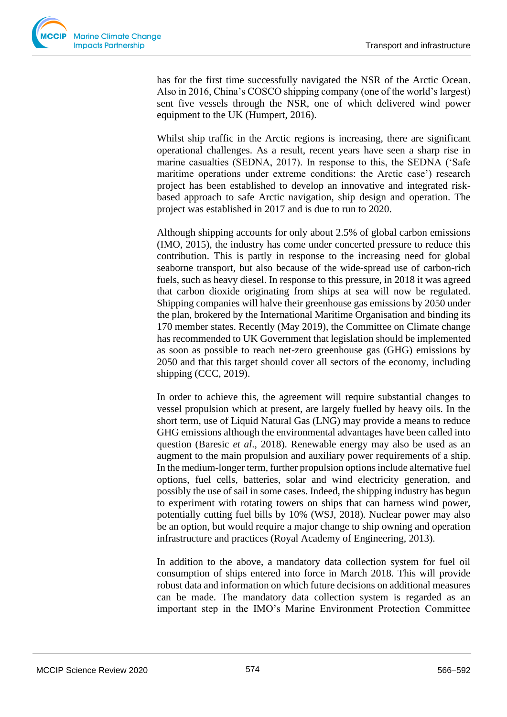

has for the first time successfully navigated the NSR of the Arctic Ocean. Also in 2016, China's COSCO shipping company (one of the world's largest) sent five vessels through the NSR, one of which delivered wind power equipment to the UK (Humpert, 2016).

Whilst ship traffic in the Arctic regions is increasing, there are significant operational challenges. As a result, recent years have seen a sharp rise in marine casualties (SEDNA, 2017). In response to this, the SEDNA ('Safe maritime operations under extreme conditions: the Arctic case') research project has been established to develop an innovative and integrated riskbased approach to safe Arctic navigation, ship design and operation. The project was established in 2017 and is due to run to 2020.

Although shipping accounts for only about 2.5% of global carbon emissions (IMO, 2015), the industry has come under concerted pressure to reduce this contribution. This is partly in response to the increasing need for global seaborne transport, but also because of the wide-spread use of carbon-rich fuels, such as heavy diesel. In response to this pressure, in 2018 it was agreed that carbon dioxide originating from ships at sea will now be regulated. Shipping companies will halve their greenhouse gas emissions by 2050 under the plan, brokered by the International Maritime Organisation and binding its 170 member states. Recently (May 2019), the Committee on Climate change has recommended to UK Government that legislation should be implemented as soon as possible to reach net-zero greenhouse gas (GHG) emissions by 2050 and that this target should cover all sectors of the economy, including shipping (CCC, 2019).

In order to achieve this, the agreement will require substantial changes to vessel propulsion which at present, are largely fuelled by heavy oils. In the short term, use of Liquid Natural Gas (LNG) may provide a means to reduce GHG emissions although the environmental advantages have been called into question (Baresic *et al*., 2018). Renewable energy may also be used as an augment to the main propulsion and auxiliary power requirements of a ship. In the medium-longer term, further propulsion options include alternative fuel options, fuel cells, batteries, solar and wind electricity generation, and possibly the use of sail in some cases. Indeed, the shipping industry has begun to experiment with rotating towers on ships that can harness wind power, potentially cutting fuel bills by 10% (WSJ, 2018). Nuclear power may also be an option, but would require a major change to ship owning and operation infrastructure and practices (Royal Academy of Engineering, 2013).

In addition to the above, a mandatory data collection system for fuel oil consumption of ships entered into force in March 2018. This will provide robust data and information on which future decisions on additional measures can be made. The mandatory data collection system is regarded as an important step in the IMO's Marine Environment Protection Committee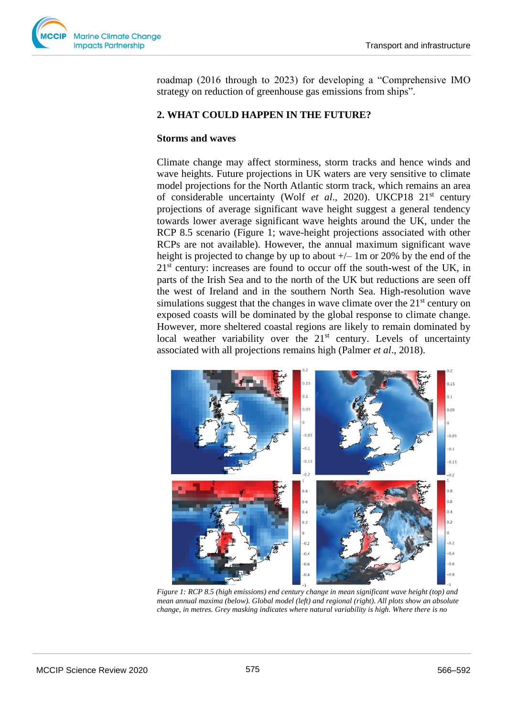

roadmap (2016 through to 2023) for developing a "Comprehensive IMO strategy on reduction of greenhouse gas emissions from ships".

## **2. WHAT COULD HAPPEN IN THE FUTURE?**

#### **Storms and waves**

Climate change may affect storminess, storm tracks and hence winds and wave heights. Future projections in UK waters are very sensitive to climate model projections for the North Atlantic storm track, which remains an area of considerable uncertainty (Wolf *et al*., 2020). UKCP18 21st century projections of average significant wave height suggest a general tendency towards lower average significant wave heights around the UK, under the RCP 8.5 scenario (Figure 1; wave-height projections associated with other RCPs are not available). However, the annual maximum significant wave height is projected to change by up to about  $+/- 1m$  or 20% by the end of the  $21<sup>st</sup>$  century: increases are found to occur off the south-west of the UK, in parts of the Irish Sea and to the north of the UK but reductions are seen off the west of Ireland and in the southern North Sea. High-resolution wave simulations suggest that the changes in wave climate over the  $21<sup>st</sup>$  century on exposed coasts will be dominated by the global response to climate change. However, more sheltered coastal regions are likely to remain dominated by local weather variability over the  $21<sup>st</sup>$  century. Levels of uncertainty associated with all projections remains high (Palmer *et al*., 2018).



*Figure 1: RCP 8.5 (high emissions) end century change in mean significant wave height (top) and mean annual maxima (below). Global model (left) and regional (right). All plots show an absolute change, in metres. Grey masking indicates where natural variability is high. Where there is no*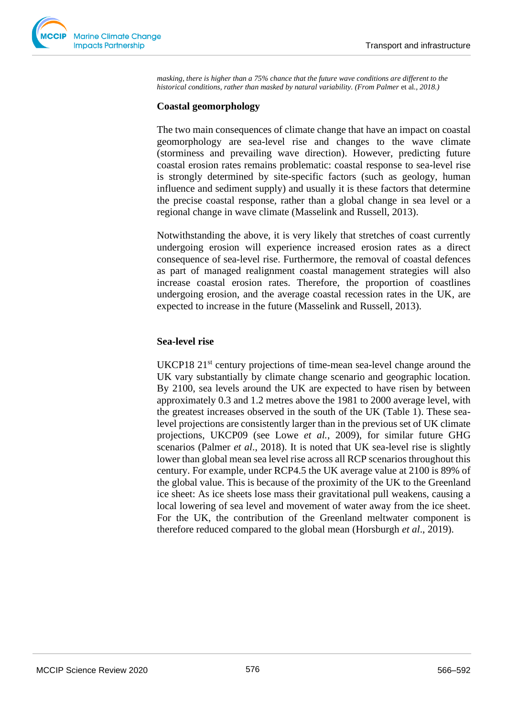

*masking, there is higher than a 75% chance that the future wave conditions are different to the historical conditions, rather than masked by natural variability. (From Palmer et al., 2018.)* 

## **Coastal geomorphology**

The two main consequences of climate change that have an impact on coastal geomorphology are sea-level rise and changes to the wave climate (storminess and prevailing wave direction). However, predicting future coastal erosion rates remains problematic: coastal response to sea-level rise is strongly determined by site-specific factors (such as geology, human influence and sediment supply) and usually it is these factors that determine the precise coastal response, rather than a global change in sea level or a regional change in wave climate (Masselink and Russell, 2013).

Notwithstanding the above, it is very likely that stretches of coast currently undergoing erosion will experience increased erosion rates as a direct consequence of sea-level rise. Furthermore, the removal of coastal defences as part of managed realignment coastal management strategies will also increase coastal erosion rates. Therefore, the proportion of coastlines undergoing erosion, and the average coastal recession rates in the UK, are expected to increase in the future (Masselink and Russell, 2013).

## **Sea-level rise**

UKCP18  $21<sup>st</sup>$  century projections of time-mean sea-level change around the UK vary substantially by climate change scenario and geographic location. By 2100, sea levels around the UK are expected to have risen by between approximately 0.3 and 1.2 metres above the 1981 to 2000 average level, with the greatest increases observed in the south of the UK (Table 1). These sealevel projections are consistently larger than in the previous set of UK climate projections, UKCP09 (see Lowe *et al.*, 2009), for similar future GHG scenarios (Palmer *et al*., 2018). It is noted that UK sea-level rise is slightly lower than global mean sea level rise across all RCP scenarios throughout this century. For example, under RCP4.5 the UK average value at 2100 is 89% of the global value. This is because of the proximity of the UK to the Greenland ice sheet: As ice sheets lose mass their gravitational pull weakens, causing a local lowering of sea level and movement of water away from the ice sheet. For the UK, the contribution of the Greenland meltwater component is therefore reduced compared to the global mean (Horsburgh *et al*., 2019).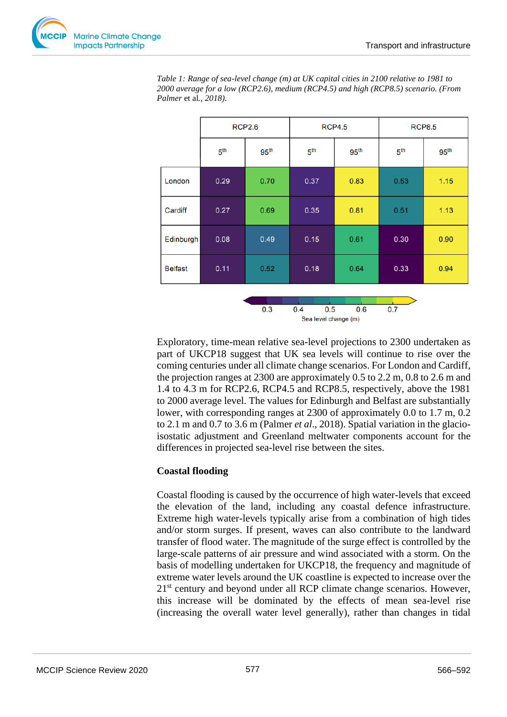

*Table 1: Range of sea-level change (m) at UK capital cities in 2100 relative to 1981 to 2000 average for a low (RCP2.6), medium (RCP4.5) and high (RCP8.5) scenario. (From Palmer* et al*., 2018).*



Exploratory, time-mean relative sea-level projections to 2300 undertaken as part of UKCP18 suggest that UK sea levels will continue to rise over the coming centuries under all climate change scenarios. For London and Cardiff, the projection ranges at  $2300$  are approximately 0.5 to 2.2 m, 0.8 to 2.6 m and 1.4 to 4.3 m for RCP2.6, RCP4.5 and RCP8.5, respectively, above the 1981 to 2000 average level. The values for Edinburgh and Belfast are substantially lower, with corresponding ranges at 2300 of approximately 0.0 to 1.7 m, 0.2 to 2.1 m and 0.7 to 3.6 m (Palmer *et al*., 2018). Spatial variation in the glacioisostatic adjustment and Greenland meltwater components account for the differences in projected sea-level rise between the sites.

## **Coastal flooding**

Coastal flooding is caused by the occurrence of high water-levels that exceed the elevation of the land, including any coastal defence infrastructure. Extreme high water-levels typically arise from a combination of high tides and/or storm surges. If present, waves can also contribute to the landward transfer of flood water. The magnitude of the surge effect is controlled by the large-scale patterns of air pressure and wind associated with a storm. On the basis of modelling undertaken for UKCP18, the frequency and magnitude of extreme water levels around the UK coastline is expected to increase over the 21<sup>st</sup> century and beyond under all RCP climate change scenarios. However, this increase will be dominated by the effects of mean sea-level rise (increasing the overall water level generally), rather than changes in tidal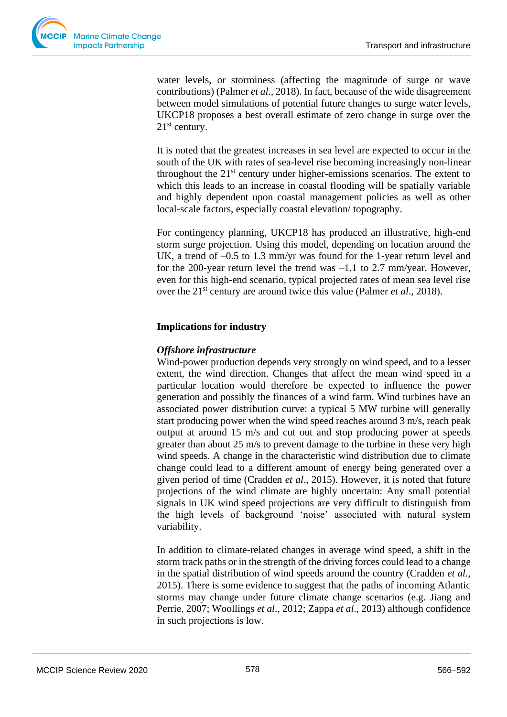

water levels, or storminess (affecting the magnitude of surge or wave contributions) (Palmer *et al*., 2018). In fact, because of the wide disagreement between model simulations of potential future changes to surge water levels, UKCP18 proposes a best overall estimate of zero change in surge over the 21<sup>st</sup> century.

It is noted that the greatest increases in sea level are expected to occur in the south of the UK with rates of sea-level rise becoming increasingly non-linear throughout the  $21<sup>st</sup>$  century under higher-emissions scenarios. The extent to which this leads to an increase in coastal flooding will be spatially variable and highly dependent upon coastal management policies as well as other local-scale factors, especially coastal elevation/ topography.

For contingency planning, UKCP18 has produced an illustrative, high-end storm surge projection. Using this model, depending on location around the UK, a trend of –0.5 to 1.3 mm/yr was found for the 1-year return level and for the 200-year return level the trend was –1.1 to 2.7 mm/year. However, even for this high-end scenario, typical projected rates of mean sea level rise over the 21st century are around twice this value (Palmer *et al*., 2018).

## **Implications for industry**

## *Offshore infrastructure*

Wind-power production depends very strongly on wind speed, and to a lesser extent, the wind direction. Changes that affect the mean wind speed in a particular location would therefore be expected to influence the power generation and possibly the finances of a wind farm. Wind turbines have an associated power distribution curve: a typical 5 MW turbine will generally start producing power when the wind speed reaches around 3 m/s, reach peak output at around 15 m/s and cut out and stop producing power at speeds greater than about 25 m/s to prevent damage to the turbine in these very high wind speeds. A change in the characteristic wind distribution due to climate change could lead to a different amount of energy being generated over a given period of time (Cradden *et al*., 2015). However, it is noted that future projections of the wind climate are highly uncertain: Any small potential signals in UK wind speed projections are very difficult to distinguish from the high levels of background 'noise' associated with natural system variability.

In addition to climate-related changes in average wind speed, a shift in the storm track paths or in the strength of the driving forces could lead to a change in the spatial distribution of wind speeds around the country (Cradden *et al*., 2015). There is some evidence to suggest that the paths of incoming Atlantic storms may change under future climate change scenarios (e.g. Jiang and Perrie, 2007; Woollings *et al*., 2012; Zappa *et al*., 2013) although confidence in such projections is low.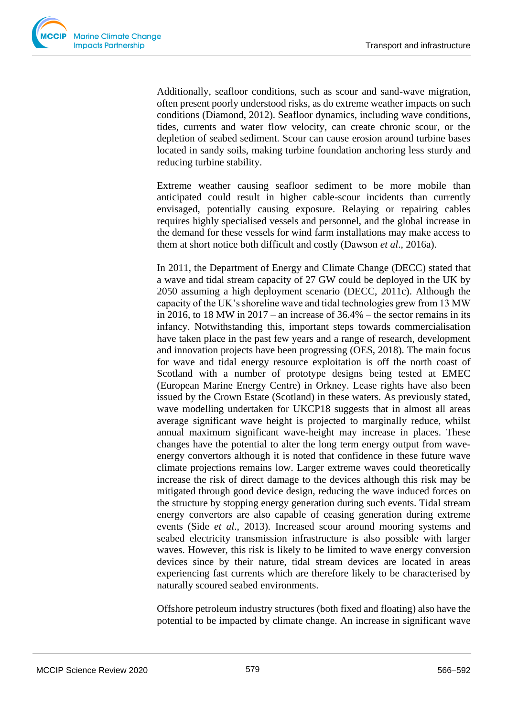

Additionally, seafloor conditions, such as scour and sand-wave migration, often present poorly understood risks, as do extreme weather impacts on such conditions (Diamond, 2012). Seafloor dynamics, including wave conditions, tides, currents and water flow velocity, can create chronic scour, or the depletion of seabed sediment. Scour can cause erosion around turbine bases located in sandy soils, making turbine foundation anchoring less sturdy and reducing turbine stability.

Extreme weather causing seafloor sediment to be more mobile than anticipated could result in higher cable-scour incidents than currently envisaged, potentially causing exposure. Relaying or repairing cables requires highly specialised vessels and personnel, and the global increase in the demand for these vessels for wind farm installations may make access to them at short notice both difficult and costly (Dawson *et al*., 2016a).

In 2011, the Department of Energy and Climate Change (DECC) stated that a wave and tidal stream capacity of 27 GW could be deployed in the UK by 2050 assuming a high deployment scenario (DECC, 2011c). Although the capacity of the UK's shoreline wave and tidal technologies grew from 13 MW in 2016, to 18 MW in  $2017$  – an increase of  $36.4%$  – the sector remains in its infancy. Notwithstanding this, important steps towards commercialisation have taken place in the past few years and a range of research, development and innovation projects have been progressing (OES, 2018). The main focus for wave and tidal energy resource exploitation is off the north coast of Scotland with a number of prototype designs being tested at EMEC (European Marine Energy Centre) in Orkney. Lease rights have also been issued by the Crown Estate (Scotland) in these waters. As previously stated, wave modelling undertaken for UKCP18 suggests that in almost all areas average significant wave height is projected to marginally reduce, whilst annual maximum significant wave-height may increase in places. These changes have the potential to alter the long term energy output from waveenergy convertors although it is noted that confidence in these future wave climate projections remains low. Larger extreme waves could theoretically increase the risk of direct damage to the devices although this risk may be mitigated through good device design, reducing the wave induced forces on the structure by stopping energy generation during such events. Tidal stream energy convertors are also capable of ceasing generation during extreme events (Side *et al*., 2013). Increased scour around mooring systems and seabed electricity transmission infrastructure is also possible with larger waves. However, this risk is likely to be limited to wave energy conversion devices since by their nature, tidal stream devices are located in areas experiencing fast currents which are therefore likely to be characterised by naturally scoured seabed environments.

Offshore petroleum industry structures (both fixed and floating) also have the potential to be impacted by climate change. An increase in significant wave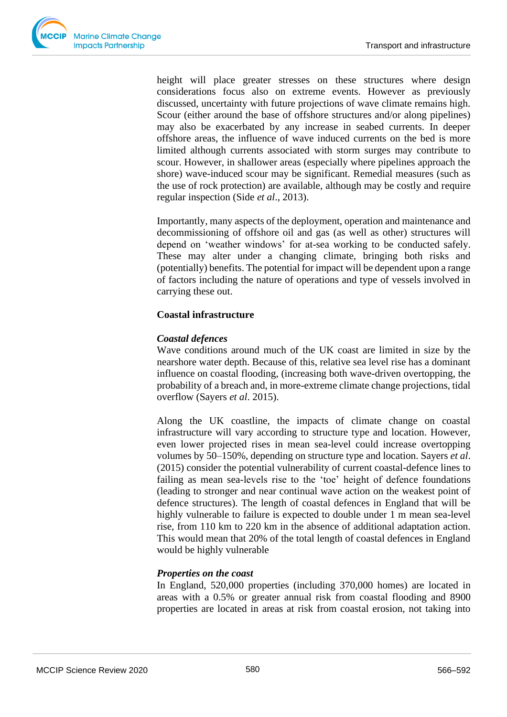

height will place greater stresses on these structures where design considerations focus also on extreme events. However as previously discussed, uncertainty with future projections of wave climate remains high. Scour (either around the base of offshore structures and/or along pipelines) may also be exacerbated by any increase in seabed currents. In deeper offshore areas, the influence of wave induced currents on the bed is more limited although currents associated with storm surges may contribute to scour. However, in shallower areas (especially where pipelines approach the shore) wave-induced scour may be significant. Remedial measures (such as the use of rock protection) are available, although may be costly and require regular inspection (Side *et al*., 2013).

Importantly, many aspects of the deployment, operation and maintenance and decommissioning of offshore oil and gas (as well as other) structures will depend on 'weather windows' for at-sea working to be conducted safely. These may alter under a changing climate, bringing both risks and (potentially) benefits. The potential for impact will be dependent upon a range of factors including the nature of operations and type of vessels involved in carrying these out.

## **Coastal infrastructure**

## *Coastal defences*

Wave conditions around much of the UK coast are limited in size by the nearshore water depth. Because of this, relative sea level rise has a dominant influence on coastal flooding, (increasing both wave-driven overtopping, the probability of a breach and, in more-extreme climate change projections, tidal overflow (Sayers *et al*. 2015).

Along the UK coastline, the impacts of climate change on coastal infrastructure will vary according to structure type and location. However, even lower projected rises in mean sea-level could increase overtopping volumes by 50–150%, depending on structure type and location. Sayers *et al*. (2015) consider the potential vulnerability of current coastal-defence lines to failing as mean sea-levels rise to the 'toe' height of defence foundations (leading to stronger and near continual wave action on the weakest point of defence structures). The length of coastal defences in England that will be highly vulnerable to failure is expected to double under 1 m mean sea-level rise, from 110 km to 220 km in the absence of additional adaptation action. This would mean that 20% of the total length of coastal defences in England would be highly vulnerable

## *Properties on the coast*

In England, 520,000 properties (including 370,000 homes) are located in areas with a 0.5% or greater annual risk from coastal flooding and 8900 properties are located in areas at risk from coastal erosion, not taking into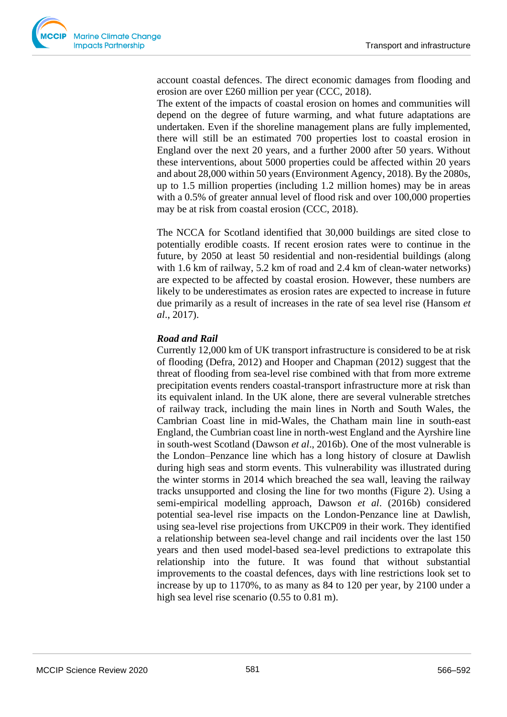account coastal defences. The direct economic damages from flooding and erosion are over £260 million per year (CCC, 2018).

The extent of the impacts of coastal erosion on homes and communities will depend on the degree of future warming, and what future adaptations are undertaken. Even if the shoreline management plans are fully implemented, there will still be an estimated 700 properties lost to coastal erosion in England over the next 20 years, and a further 2000 after 50 years. Without these interventions, about 5000 properties could be affected within 20 years and about 28,000 within 50 years (Environment Agency, 2018). By the 2080s, up to 1.5 million properties (including 1.2 million homes) may be in areas with a 0.5% of greater annual level of flood risk and over 100,000 properties may be at risk from coastal erosion (CCC, 2018).

The NCCA for Scotland identified that 30,000 buildings are sited close to potentially erodible coasts. If recent erosion rates were to continue in the future, by 2050 at least 50 residential and non-residential buildings (along with 1.6 km of railway, 5.2 km of road and 2.4 km of clean-water networks) are expected to be affected by coastal erosion. However, these numbers are likely to be underestimates as erosion rates are expected to increase in future due primarily as a result of increases in the rate of sea level rise (Hansom *et al*., 2017).

## *Road and Rail*

Currently 12,000 km of UK transport infrastructure is considered to be at risk of flooding (Defra, 2012) and Hooper and Chapman (2012) suggest that the threat of flooding from sea-level rise combined with that from more extreme precipitation events renders coastal-transport infrastructure more at risk than its equivalent inland. In the UK alone, there are several vulnerable stretches of railway track, including the main lines in North and South Wales, the Cambrian Coast line in mid-Wales, the Chatham main line in south-east England, the Cumbrian coast line in north-west England and the Ayrshire line in south-west Scotland (Dawson *et al*., 2016b). One of the most vulnerable is the London–Penzance line which has a long history of closure at Dawlish during high seas and storm events. This vulnerability was illustrated during the winter storms in 2014 which breached the sea wall, leaving the railway tracks unsupported and closing the line for two months (Figure 2). Using a semi-empirical modelling approach, Dawson *et al*. (2016b) considered potential sea-level rise impacts on the London-Penzance line at Dawlish, using sea-level rise projections from UKCP09 in their work. They identified a relationship between sea-level change and rail incidents over the last 150 years and then used model-based sea-level predictions to extrapolate this relationship into the future. It was found that without substantial improvements to the coastal defences, days with line restrictions look set to increase by up to 1170%, to as many as 84 to 120 per year, by 2100 under a high sea level rise scenario (0.55 to 0.81 m).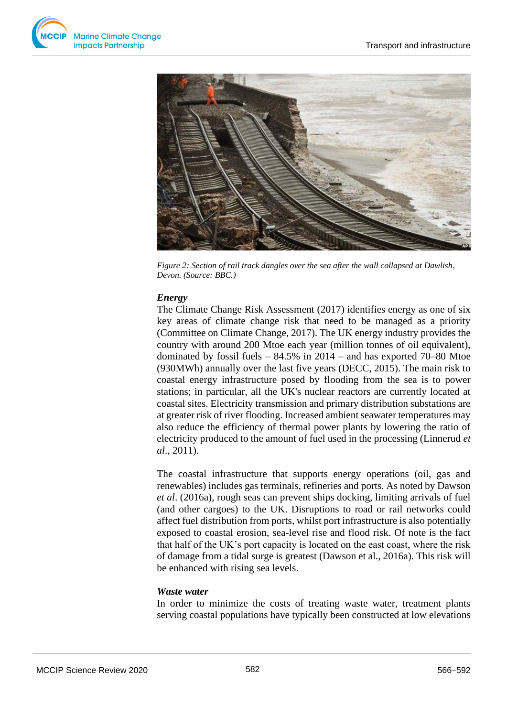



*Figure 2: Section of rail track dangles over the sea after the wall collapsed at Dawlish, Devon. (Source: BBC.)*

## *Energy*

The Climate Change Risk Assessment (2017) identifies energy as one of six key areas of climate change risk that need to be managed as a priority (Committee on Climate Change, 2017). The UK energy industry provides the country with around 200 Mtoe each year (million tonnes of oil equivalent), dominated by fossil fuels  $-84.5\%$  in 2014 – and has exported 70–80 Mtoe (930MWh) annually over the last five years (DECC, 2015). The main risk to coastal energy infrastructure posed by flooding from the sea is to power stations; in particular, all the UK's nuclear reactors are currently located at coastal sites. Electricity transmission and primary distribution substations are at greater risk of river flooding. Increased ambient seawater temperatures may also reduce the efficiency of thermal power plants by lowering the ratio of electricity produced to the amount of fuel used in the processing (Linnerud *et al*., 2011).

The coastal infrastructure that supports energy operations (oil, gas and renewables) includes gas terminals, refineries and ports. As noted by Dawson *et al*. (2016a), rough seas can prevent ships docking, limiting arrivals of fuel (and other cargoes) to the UK. Disruptions to road or rail networks could affect fuel distribution from ports, whilst port infrastructure is also potentially exposed to coastal erosion, sea-level rise and flood risk. Of note is the fact that half of the UK's port capacity is located on the east coast, where the risk of damage from a tidal surge is greatest (Dawson et al., 2016a). This risk will be enhanced with rising sea levels.

## *Waste water*

In order to minimize the costs of treating waste water, treatment plants serving coastal populations have typically been constructed at low elevations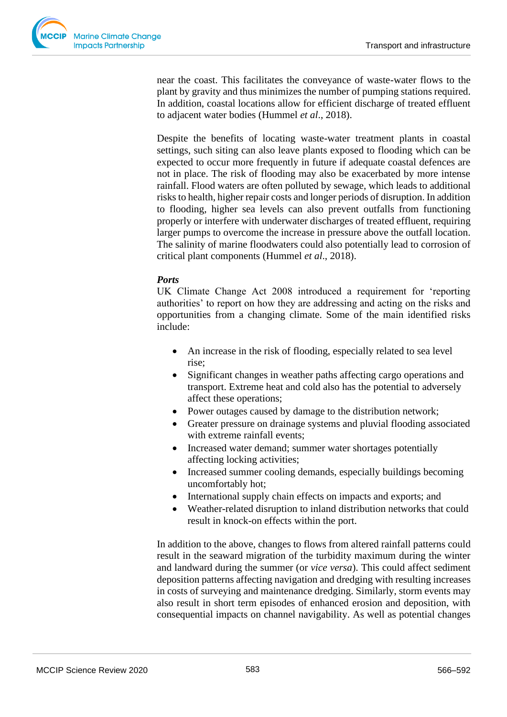

near the coast. This facilitates the conveyance of waste-water flows to the plant by gravity and thus minimizes the number of pumping stations required. In addition, coastal locations allow for efficient discharge of treated effluent to adjacent water bodies (Hummel *et al*., 2018).

Despite the benefits of locating waste-water treatment plants in coastal settings, such siting can also leave plants exposed to flooding which can be expected to occur more frequently in future if adequate coastal defences are not in place. The risk of flooding may also be exacerbated by more intense rainfall. Flood waters are often polluted by sewage, which leads to additional risks to health, higher repair costs and longer periods of disruption. In addition to flooding, higher sea levels can also prevent outfalls from functioning properly or interfere with underwater discharges of treated effluent, requiring larger pumps to overcome the increase in pressure above the outfall location. The salinity of marine floodwaters could also potentially lead to corrosion of critical plant components (Hummel *et al*., 2018).

## *Ports*

UK Climate Change Act 2008 introduced a requirement for 'reporting authorities' to report on how they are addressing and acting on the risks and opportunities from a changing climate. Some of the main identified risks include:

- An increase in the risk of flooding, especially related to sea level rise;
- Significant changes in weather paths affecting cargo operations and transport. Extreme heat and cold also has the potential to adversely affect these operations;
- Power outages caused by damage to the distribution network;
- Greater pressure on drainage systems and pluvial flooding associated with extreme rainfall events;
- Increased water demand; summer water shortages potentially affecting locking activities;
- Increased summer cooling demands, especially buildings becoming uncomfortably hot;
- International supply chain effects on impacts and exports; and
- Weather-related disruption to inland distribution networks that could result in knock-on effects within the port.

In addition to the above, changes to flows from altered rainfall patterns could result in the seaward migration of the turbidity maximum during the winter and landward during the summer (or *vice versa*). This could affect sediment deposition patterns affecting navigation and dredging with resulting increases in costs of surveying and maintenance dredging. Similarly, storm events may also result in short term episodes of enhanced erosion and deposition, with consequential impacts on channel navigability. As well as potential changes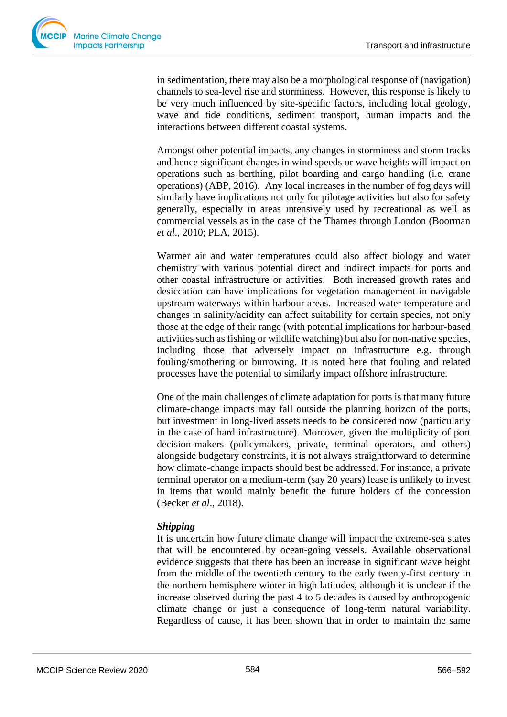in sedimentation, there may also be a morphological response of (navigation) channels to sea-level rise and storminess. However, this response is likely to be very much influenced by site-specific factors, including local geology, wave and tide conditions, sediment transport, human impacts and the interactions between different coastal systems.

Amongst other potential impacts, any changes in storminess and storm tracks and hence significant changes in wind speeds or wave heights will impact on operations such as berthing, pilot boarding and cargo handling (i.e. crane operations) (ABP, 2016). Any local increases in the number of fog days will similarly have implications not only for pilotage activities but also for safety generally, especially in areas intensively used by recreational as well as commercial vessels as in the case of the Thames through London (Boorman *et al*., 2010; PLA, 2015).

Warmer air and water temperatures could also affect biology and water chemistry with various potential direct and indirect impacts for ports and other coastal infrastructure or activities. Both increased growth rates and desiccation can have implications for vegetation management in navigable upstream waterways within harbour areas. Increased water temperature and changes in salinity/acidity can affect suitability for certain species, not only those at the edge of their range (with potential implications for harbour-based activities such as fishing or wildlife watching) but also for non-native species, including those that adversely impact on infrastructure e.g. through fouling/smothering or burrowing. It is noted here that fouling and related processes have the potential to similarly impact offshore infrastructure.

One of the main challenges of climate adaptation for ports is that many future climate-change impacts may fall outside the planning horizon of the ports, but investment in long-lived assets needs to be considered now (particularly in the case of hard infrastructure). Moreover, given the multiplicity of port decision-makers (policymakers, private, terminal operators, and others) alongside budgetary constraints, it is not always straightforward to determine how climate-change impacts should best be addressed. For instance, a private terminal operator on a medium-term (say 20 years) lease is unlikely to invest in items that would mainly benefit the future holders of the concession (Becker *et al*., 2018).

## *Shipping*

It is uncertain how future climate change will impact the extreme-sea states that will be encountered by ocean-going vessels. Available observational evidence suggests that there has been an increase in significant wave height from the middle of the twentieth century to the early twenty-first century in the northern hemisphere winter in high latitudes, although it is unclear if the increase observed during the past 4 to 5 decades is caused by anthropogenic climate change or just a consequence of long-term natural variability. Regardless of cause, it has been shown that in order to maintain the same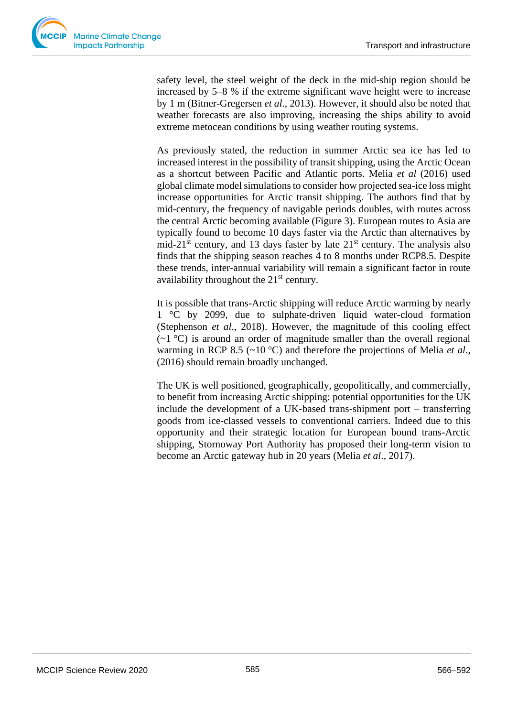

safety level, the steel weight of the deck in the mid-ship region should be increased by 5–8 % if the extreme significant wave height were to increase by 1 m (Bitner-Gregersen *et al*., 2013). However, it should also be noted that weather forecasts are also improving, increasing the ships ability to avoid extreme metocean conditions by using weather routing systems.

As previously stated, the reduction in summer Arctic sea ice has led to increased interest in the possibility of transit shipping, using the Arctic Ocean as a shortcut between Pacific and Atlantic ports. Melia *et al* (2016) used global climate model simulations to consider how projected sea-ice loss might increase opportunities for Arctic transit shipping. The authors find that by mid-century, the frequency of navigable periods doubles, with routes across the central Arctic becoming available (Figure 3). European routes to Asia are typically found to become 10 days faster via the Arctic than alternatives by mid-21<sup>st</sup> century, and 13 days faster by late  $21<sup>st</sup>$  century. The analysis also finds that the shipping season reaches 4 to 8 months under RCP8.5. Despite these trends, inter-annual variability will remain a significant factor in route availability throughout the  $21<sup>st</sup>$  century.

It is possible that trans-Arctic shipping will reduce Arctic warming by nearly 1 °C by 2099, due to sulphate-driven liquid water-cloud formation (Stephenson *et al*., 2018). However, the magnitude of this cooling effect  $(\sim 1 \degree C)$  is around an order of magnitude smaller than the overall regional warming in RCP 8.5 (~10 °C) and therefore the projections of Melia *et al*., (2016) should remain broadly unchanged.

The UK is well positioned, geographically, geopolitically, and commercially, to benefit from increasing Arctic shipping: potential opportunities for the UK include the development of a UK-based trans-shipment port – transferring goods from ice-classed vessels to conventional carriers. Indeed due to this opportunity and their strategic location for European bound trans-Arctic shipping, Stornoway Port Authority has proposed their long-term vision to become an Arctic gateway hub in 20 years (Melia *et al*., 2017).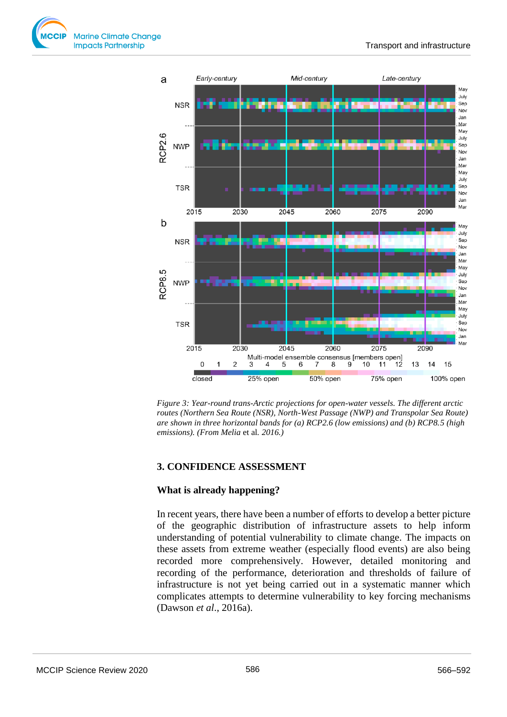



*Figure 3: Year-round trans-Arctic projections for open-water vessels. The different arctic routes (Northern Sea Route (NSR), North-West Passage (NWP) and Transpolar Sea Route) are shown in three horizontal bands for (a) RCP2.6 (low emissions) and (b) RCP8.5 (high emissions). (From Melia* et al*. 2016.)*

## **3. CONFIDENCE ASSESSMENT**

## **What is already happening?**

In recent years, there have been a number of efforts to develop a better picture of the geographic distribution of infrastructure assets to help inform understanding of potential vulnerability to climate change. The impacts on these assets from extreme weather (especially flood events) are also being recorded more comprehensively. However, detailed monitoring and recording of the performance, deterioration and thresholds of failure of infrastructure is not yet being carried out in a systematic manner which complicates attempts to determine vulnerability to key forcing mechanisms (Dawson *et al*., 2016a).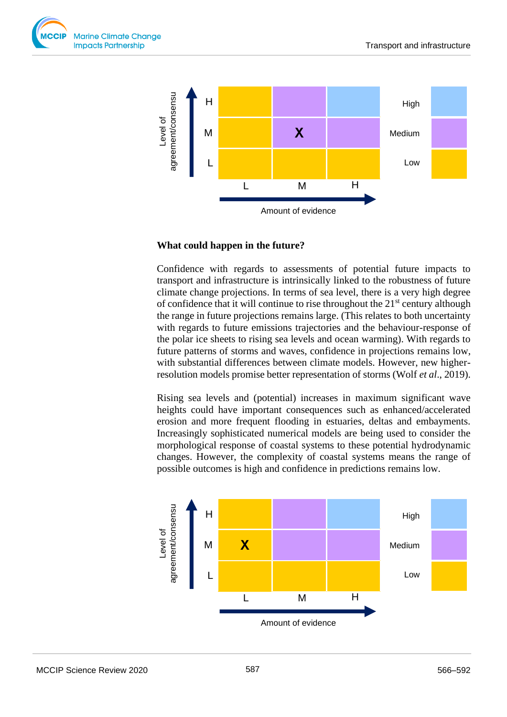



## **What could happen in the future?**

Confidence with regards to assessments of potential future impacts to transport and infrastructure is intrinsically linked to the robustness of future climate change projections. In terms of sea level, there is a very high degree of confidence that it will continue to rise throughout the  $21<sup>st</sup>$  century although the range in future projections remains large. (This relates to both uncertainty with regards to future emissions trajectories and the behaviour-response of the polar ice sheets to rising sea levels and ocean warming). With regards to future patterns of storms and waves, confidence in projections remains low, with substantial differences between climate models. However, new higherresolution models promise better representation of storms (Wolf *et al*., 2019).

Rising sea levels and (potential) increases in maximum significant wave heights could have important consequences such as enhanced/accelerated erosion and more frequent flooding in estuaries, deltas and embayments. Increasingly sophisticated numerical models are being used to consider the morphological response of coastal systems to these potential hydrodynamic changes. However, the complexity of coastal systems means the range of possible outcomes is high and confidence in predictions remains low.

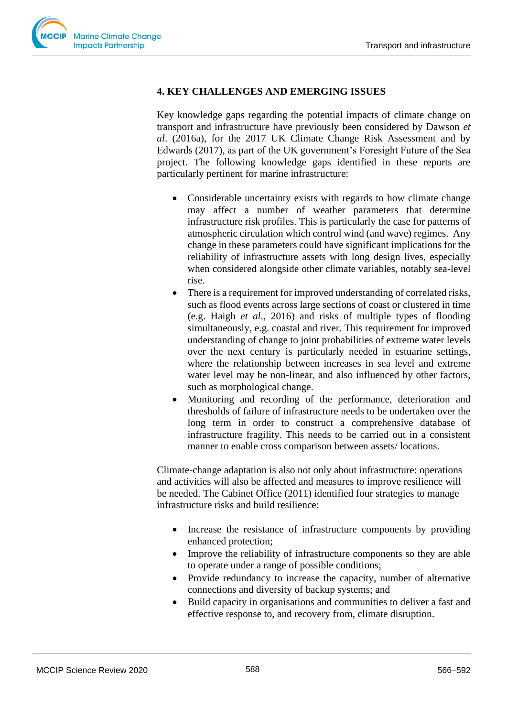

## **4. KEY CHALLENGES AND EMERGING ISSUES**

Key knowledge gaps regarding the potential impacts of climate change on transport and infrastructure have previously been considered by Dawson *et al*. (2016a), for the 2017 UK Climate Change Risk Assessment and by Edwards (2017), as part of the UK government's Foresight Future of the Sea project. The following knowledge gaps identified in these reports are particularly pertinent for marine infrastructure:

- Considerable uncertainty exists with regards to how climate change may affect a number of weather parameters that determine infrastructure risk profiles. This is particularly the case for patterns of atmospheric circulation which control wind (and wave) regimes. Any change in these parameters could have significant implications for the reliability of infrastructure assets with long design lives, especially when considered alongside other climate variables, notably sea-level rise.
- There is a requirement for improved understanding of correlated risks, such as flood events across large sections of coast or clustered in time (e.g. Haigh *et al*., 2016) and risks of multiple types of flooding simultaneously, e.g. coastal and river. This requirement for improved understanding of change to joint probabilities of extreme water levels over the next century is particularly needed in estuarine settings, where the relationship between increases in sea level and extreme water level may be non-linear, and also influenced by other factors, such as morphological change.
- Monitoring and recording of the performance, deterioration and thresholds of failure of infrastructure needs to be undertaken over the long term in order to construct a comprehensive database of infrastructure fragility. This needs to be carried out in a consistent manner to enable cross comparison between assets/ locations.

Climate-change adaptation is also not only about infrastructure: operations and activities will also be affected and measures to improve resilience will be needed. The Cabinet Office (2011) identified four strategies to manage infrastructure risks and build resilience:

- Increase the resistance of infrastructure components by providing enhanced protection;
- Improve the reliability of infrastructure components so they are able to operate under a range of possible conditions;
- Provide redundancy to increase the capacity, number of alternative connections and diversity of backup systems; and
- Build capacity in organisations and communities to deliver a fast and effective response to, and recovery from, climate disruption.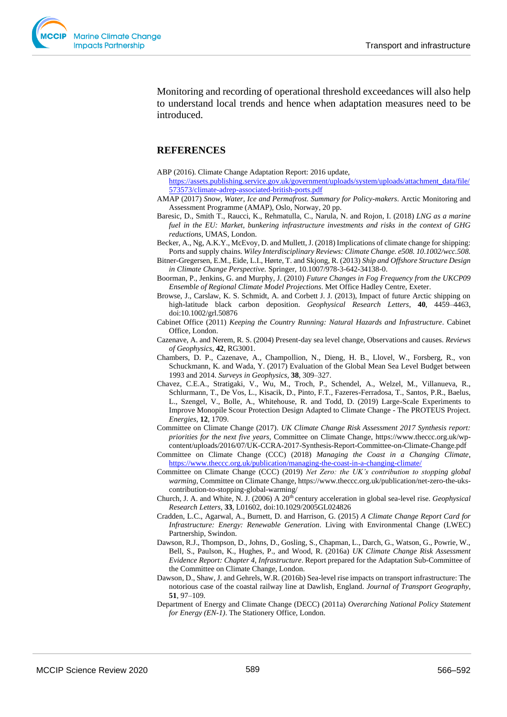

Monitoring and recording of operational threshold exceedances will also help to understand local trends and hence when adaptation measures need to be introduced.

## **REFERENCES**

- ABP (2016). Climate Change Adaptation Report: 2016 update, [https://assets.publishing.service.gov.uk/government/uploads/system/uploads/attachment\\_data/file/](https://assets.publishing.service.gov.uk/government/uploads/system/uploads/attachment_data/file/573573/climate-adrep-associated-british-ports.pdf) [573573/climate-adrep-associated-british-ports.pdf](https://assets.publishing.service.gov.uk/government/uploads/system/uploads/attachment_data/file/573573/climate-adrep-associated-british-ports.pdf)
- AMAP (2017) *Snow, Water, Ice and Permafrost. Summary for Policy-makers*. Arctic Monitoring and Assessment Programme (AMAP), Oslo, Norway, 20 pp.
- Baresic, D., Smith T., Raucci, K., Rehmatulla, C., Narula, N. and Rojon, I. (2018) *LNG as a marine fuel in the EU: Market, bunkering infrastructure investments and risks in the context of GHG reductions*, UMAS, London.

Becker, A., Ng, A.K.Y., McEvoy, D. and Mullett, J. (2018) Implications of climate change for shipping: Ports and supply chains. *Wiley Interdisciplinary Reviews: Climate Change. e508. 10.1002/wcc.508.*

- Bitner-Gregersen, E.M., Eide, L.I., Hørte, T. and Skjong, R. (2013) *Ship and Offshore Structure Design in Climate Change Perspective.* Springer, 10.1007/978-3-642-34138-0.
- Boorman, P., Jenkins, G. and Murphy, J. (2010) *Future Changes in Fog Frequency from the UKCP09 Ensemble of Regional Climate Model Projections*. Met Office Hadley Centre, Exeter.
- Browse, J., Carslaw, K. S. Schmidt, A. and Corbett J. J. (2013), Impact of future Arctic shipping on high-latitude black carbon deposition. *Geophysical Research Letters*, **40**, 4459–4463, doi:10.1002/grl.50876
- Cabinet Office (2011) *Keeping the Country Running: Natural Hazards and Infrastructure*. Cabinet Office, London.
- Cazenave, A. and Nerem, R. S. (2004) Present-day sea level change, Observations and causes. *Reviews of Geophysics*, **42**, RG3001.
- Chambers, D. P., Cazenave, A., Champollion, N., Dieng, H. B., Llovel, W., Forsberg, R., von Schuckmann, K. and Wada, Y. (2017) Evaluation of the Global Mean Sea Level Budget between 1993 and 2014. *Surveys in Geophysics*, **38**, 309–327.
- Chavez, C.E.A., Stratigaki, V., Wu, M., Troch, P., Schendel, A., Welzel, M., Villanueva, R., Schlurmann, T., De Vos, L., Kisacik, D., Pinto, F.T., Fazeres-Ferradosa, T., Santos, P.R., Baelus, L., Szengel, V., Bolle, A., Whitehouse, R. and Todd, D. (2019) Large-Scale Experiments to Improve Monopile Scour Protection Design Adapted to Climate Change - The PROTEUS Project. *Energies*, **12**, 1709.
- Committee on Climate Change (2017). *UK Climate Change Risk Assessment 2017 Synthesis report: priorities for the next five years*, Committee on Climate Change, https://www.theccc.org.uk/wpcontent/uploads/2016/07/UK-CCRA-2017-Synthesis-Report-Committee-on-Climate-Change.pdf
- Committee on Climate Change (CCC) (2018) *Managing the Coast in a Changing Climate*, <https://www.theccc.org.uk/publication/managing-the-coast-in-a-changing-climate/>
- Committee on Climate Change (CCC) (2019) *Net Zero: the UK's contribution to stopping global warming*, Committee on Climate Change, https://www.theccc.org.uk/publication/net-zero-the-ukscontribution-to-stopping-global-warming/
- Church, J. A. and White, N. J. (2006) A 20th century acceleration in global sea-level rise. *Geophysical Research Letters*, **33**, L01602, doi:10.1029/2005GL024826
- Cradden, L.C., Agarwal, A., Burnett, D. and Harrison, G. (2015) *A Climate Change Report Card for Infrastructure: Energy: Renewable Generation*. Living with Environmental Change (LWEC) Partnership, Swindon.
- Dawson, R.J., Thompson, D., Johns, D., Gosling, S., Chapman, L., Darch, G., Watson, G., Powrie, W., Bell, S., Paulson, K., Hughes, P., and Wood, R. (2016a) *UK Climate Change Risk Assessment Evidence Report: Chapter 4, Infrastructure*. Report prepared for the Adaptation Sub-Committee of the Committee on Climate Change, London.
- Dawson, D., Shaw, J. and Gehrels, W.R. (2016b) Sea-level rise impacts on transport infrastructure: The notorious case of the coastal railway line at Dawlish, England. *Journal of Transport Geography*, **51**, 97–109.
- Department of Energy and Climate Change (DECC) (2011a) *Overarching National Policy Statement for Energy (EN-1)*. The Stationery Office, London.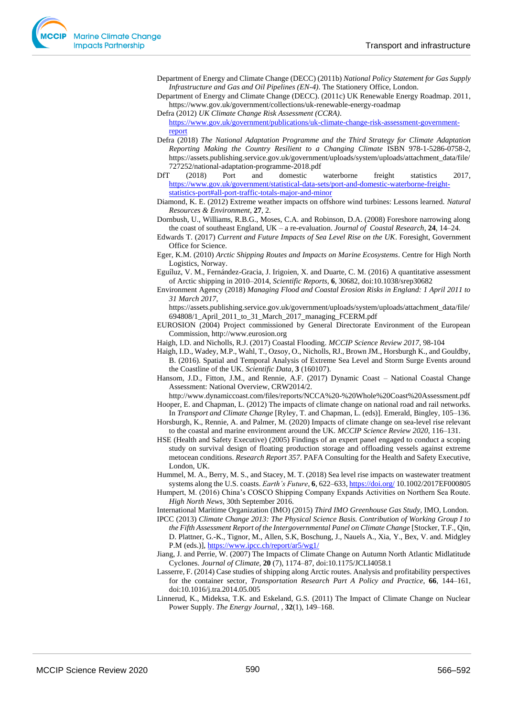- Department of Energy and Climate Change (DECC) (2011b) *National Policy Statement for Gas Supply Infrastructure and Gas and Oil Pipelines (EN-4)*. The Stationery Office, London.
- Department of Energy and Climate Change (DECC). (2011c) UK Renewable Energy Roadmap. 2011, https://www.gov.uk/government/collections/uk-renewable-energy-roadmap
- Defra (2012) *UK Climate Change Risk Assessment (CCRA)*. [https://www.gov.uk/government/publications/uk-climate-change-risk-assessment-government](https://www.gov.uk/government/publications/uk-climate-change-risk-assessment-government-report)[report](https://www.gov.uk/government/publications/uk-climate-change-risk-assessment-government-report)
- Defra (2018) *The National Adaptation Programme and the Third Strategy for Climate Adaptation Reporting Making the Country Resilient to a Changing Climate* ISBN 978-1-5286-0758-2, https://assets.publishing.service.gov.uk/government/uploads/system/uploads/attachment\_data/file/ 727252/national-adaptation-programme-2018.pdf
- DfT (2018) Port and domestic waterborne freight statistics 2017, [https://www.gov.uk/government/statistical-data-sets/port-and-domestic-waterborne-freight](https://www.gov.uk/government/statistical-data-sets/port-and-domestic-waterborne-freight-statistics-port#all-port-traffic-totals-major-and-minor)[statistics-port#all-port-traffic-totals-major-and-minor](https://www.gov.uk/government/statistical-data-sets/port-and-domestic-waterborne-freight-statistics-port#all-port-traffic-totals-major-and-minor)

Diamond, K. E. (2012) Extreme weather impacts on offshore wind turbines: Lessons learned. *Natural Resources & Environment*, **27**, 2.

Dornbush, U., Williams, R.B.G., Moses, C.A. and Robinson, D.A. (2008) Foreshore narrowing along the coast of southeast England, UK – a re-evaluation. *Journal of Coastal Research*, **24**, 14–24.

Edwards T. (2017) *Current and Future Impacts of Sea Level Rise on the UK*. Foresight, Government Office for Science.

- Eger, K.M. (2010) *Arctic Shipping Routes and Impacts on Marine Ecosystems*. Centre for High North Logistics, Norway.
- Eguíluz, V. M., Fernández-Gracia, J. Irigoien, X. and Duarte, C. M. (2016) A quantitative assessment of Arctic shipping in 2010–2014, *Scientific Reports*, **6**, 30682, doi:10.1038/srep30682
- Environment Agency (2018) *Managing Flood and Coastal Erosion Risks in England: 1 April 2011 to 31 March 2017*,

https://assets.publishing.service.gov.uk/government/uploads/system/uploads/attachment\_data/file/ 694808/1\_April\_2011\_to\_31\_March\_2017\_managing\_FCERM.pdf

- EUROSION (2004) Project commissioned by General Directorate Environment of the European Commission, http://www.eurosion.org
- Haigh, I.D. and Nicholls, R.J. (2017) Coastal Flooding. *MCCIP Science Review 2017*, 98-104
- Haigh, I.D., Wadey, M.P., Wahl, T., Ozsoy, O., Nicholls, RJ., Brown JM., Horsburgh K., and Gouldby, B. (2016). Spatial and Temporal Analysis of Extreme Sea Level and Storm Surge Events around the Coastline of the UK. *Scientific Data*, **3** (160107).
- Hansom, J.D., Fitton, J.M., and Rennie, A.F. (2017) Dynamic Coast National Coastal Change Assessment: National Overview, CRW2014/2.

http://www.dynamiccoast.com/files/reports/NCCA%20-%20Whole%20Coast%20Assessment.pdf Hooper, E. and Chapman, L. (2012) The impacts of climate change on national road and rail networks.

- In *Transport and Climate Change* [Ryley, T. and Chapman, L. (eds)]. Emerald, Bingley, 105–136. Horsburgh, K., Rennie, A. and Palmer, M. (2020) Impacts of climate change on sea-level rise relevant
- to the coastal and marine environment around the UK. *MCCIP Science Review 2020*, 116–131. HSE (Health and Safety Executive) (2005) Findings of an expert panel engaged to conduct a scoping study on survival design of floating production storage and offloading vessels against extreme metocean conditions. *Research Report 357*. PAFA Consulting for the Health and Safety Executive,
- London, UK. Hummel, M. A., Berry, M. S., and Stacey, M. T. (2018) Sea level rise impacts on wastewater treatment systems along the U.S. coasts. *Earth's Future*, **6**, 622–633, <https://doi.org/> 10.1002/2017EF000805
- Humpert, M. (2016) China's COSCO Shipping Company Expands Activities on Northern Sea Route. *High North News,* 30th September 2016.

International Maritime Organization (IMO) (2015) *Third IMO Greenhouse Gas Study,* IMO, London.

- IPCC (2013) *Climate Change 2013: The Physical Science Basis. Contribution of Working Group I to the Fifth Assessment Report of the Intergovernmental Panel on Climate Change* [Stocker, T.F., Qin, D. Plattner, G.-K., Tignor, M., Allen, S.K, Boschung, J., Nauels A., Xia, Y., Bex, V. and. Midgley P.M (eds.)],<https://www.ipcc.ch/report/ar5/wg1/>
- Jiang, J. and Perrie, W. (2007) The Impacts of Climate Change on Autumn North Atlantic Midlatitude Cyclones. *Journal of Climate,* **20** (7), 1174–87, doi:10.1175/JCLI4058.1
- Lasserre, F. (2014) Case studies of shipping along Arctic routes. Analysis and profitability perspectives for the container sector, *Transportation Research Part A Policy and Practice*, **66**, 144–161, doi:10.1016/j.tra.2014.05.005
- Linnerud, K., Mideksa, T.K. and Eskeland, G.S. (2011) The Impact of Climate Change on Nuclear Power Supply. *The Energy Journal*, , **32**(1), 149–168.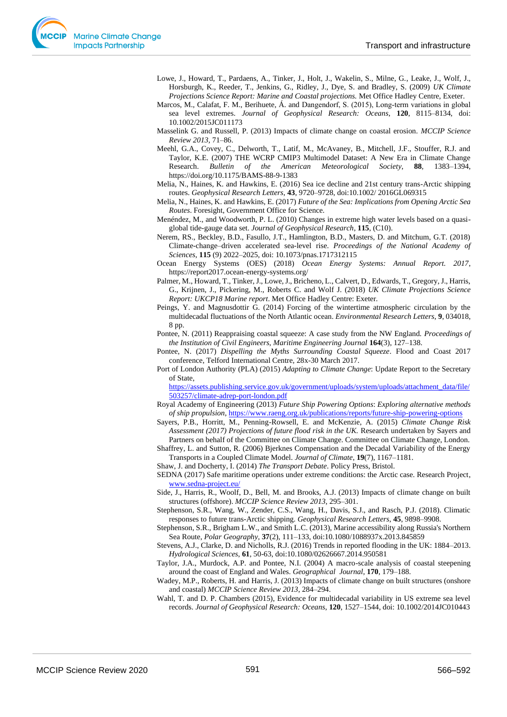Lowe, J., Howard, T., Pardaens, A., Tinker, J., Holt, J., Wakelin, S., Milne, G., Leake, J., Wolf, J., Horsburgh, K., Reeder, T., Jenkins, G., Ridley, J., Dye, S. and Bradley, S. (2009) *UK Climate Projections Science Report: Marine and Coastal projections.* Met Office Hadley Centre, Exeter.

Marcos, M., Calafat, F. M., Berihuete, Á. and Dangendorf, S. (2015), Long-term variations in global sea level extremes. *Journal of Geophysical Research: Oceans*, **120**, 8115–8134, doi: 10.1002/2015JC011173

Masselink G. and Russell, P. (2013) Impacts of climate change on coastal erosion. *MCCIP Science Review 2013,* 71–86.

- Meehl, G.A., Covey, C., Delworth, T., Latif, M., McAvaney, B., Mitchell, J.F., Stouffer, R.J. and Taylor, K.E. (2007) THE WCRP CMIP3 Multimodel Dataset: A New Era in Climate Change Research. *Bulletin of the American Meteorological Society*, **88**, 1383–1394, https://doi.org/10.1175/BAMS-88-9-1383
- Melia, N., Haines, K. and Hawkins, E. (2016) Sea ice decline and 21st century trans-Arctic shipping routes. *Geophysical Research Letters*, **43**, 9720–9728, doi:10.1002/ 2016GL069315

Melia, N., Haines, K. and Hawkins, E. (2017) *Future of the Sea: Implications from Opening Arctic Sea Routes*. Foresight, Government Office for Science.

- Menéndez, M., and Woodworth, P. L. (2010) Changes in extreme high water levels based on a quasiglobal tide-gauge data set. *Journal of Geophysical Research*, **115**, (C10).
- Nerem, RS., Beckley, B.D., Fasullo, J.T., Hamlington, B.D., Masters, D. and Mitchum, G.T. (2018) Climate-change–driven accelerated sea-level rise. *Proceedings of the National Academy of Sciences*, **115** (9) 2022–2025, doi: 10.1073/pnas.1717312115
- Ocean Energy Systems (OES) (2018) *Ocean Energy Systems: Annual Report. 2017*, https://report2017.ocean-energy-systems.org/
- Palmer, M., Howard, T., Tinker, J., Lowe, J., Bricheno, L., Calvert, D., Edwards, T., Gregory, J., Harris, G., Krijnen, J., Pickering, M., Roberts C. and Wolf J. (2018) *UK Climate Projections Science Report: UKCP18 Marine report*. Met Office Hadley Centre: Exeter.
- Peings, Y. and Magnusdottir G. (2014) Forcing of the wintertime atmospheric circulation by the multidecadal fluctuations of the North Atlantic ocean. *Environmental Research Letters*, **9**, 034018, 8 pp.
- Pontee, N. (2011) Reappraising coastal squeeze: A case study from the NW England. *Proceedings of the Institution of Civil Engineers, Maritime Engineering Journal* **164**(3), 127–138.
- Pontee, N. (2017) *Dispelling the Myths Surrounding Coastal Squeeze*. Flood and Coast 2017 conference, Telford International Centre, 28x-30 March 2017.
- Port of London Authority (PLA) (2015) *Adapting to Climate Change*: Update Report to the Secretary of State,

[https://assets.publishing.service.gov.uk/government/uploads/system/uploads/attachment\\_data/file/](https://assets.publishing.service.gov.uk/government/uploads/system/uploads/attachment_data/file/503257/climate-adrep-port-london.pdf) [503257/climate-adrep-port-london.pdf](https://assets.publishing.service.gov.uk/government/uploads/system/uploads/attachment_data/file/503257/climate-adrep-port-london.pdf) 

Royal Academy of Engineering (2013) *Future Ship Powering Options*: *Exploring alternative methods of ship propulsion*, <https://www.raeng.org.uk/publications/reports/future-ship-powering-options>

- Sayers, P.B., Horritt, M., Penning-Rowsell, E. and McKenzie, A. (2015) *Climate Change Risk Assessment (2017) Projections of future flood risk in the UK.* Research undertaken by Sayers and Partners on behalf of the Committee on Climate Change. Committee on Climate Change, London.
- Shaffrey, L. and Sutton, R. (2006) Bjerknes Compensation and the Decadal Variability of the Energy Transports in a Coupled Climate Model. *Journal of Climate*, **19**(7), 1167–1181.
- Shaw, J. and Docherty, I. (2014) *The Transport Debate*. Policy Press, Bristol.

SEDNA (2017) Safe maritime operations under extreme conditions: the Arctic case. Research Project, [www.sedna-project.eu/](http://www.sedna-project.eu/)

- Side, J., Harris, R., Woolf, D., Bell, M. and Brooks, A.J. (2013) Impacts of climate change on built structures (offshore). *MCCIP Science Review 2013*, 295–301.
- Stephenson, S.R., Wang, W., Zender, C.S., Wang, H., Davis, S.J., and Rasch, P.J. (2018). Climatic responses to future trans-Arctic shipping. *Geophysical Research Letters*, **45**, 9898–9908.
- Stephenson, S.R., Brigham L.W., and Smith L.C. (2013), Marine accessibility along Russia's Northern Sea Route, *Polar Geography*, **37**(2), 111–133, doi:10.1080/1088937x.2013.845859
- Stevens, A.J., Clarke, D. and Nicholls, R.J. (2016) Trends in reported flooding in the UK: 1884–2013. *Hydrological Sciences*, **61**, 50-63, doi:10.1080/02626667.2014.950581
- Taylor, J.A., Murdock, A.P. and Pontee, N.I. (2004) A macro-scale analysis of coastal steepening around the coast of England and Wales. *Geographical Journal*, **170**, 179–188.
- Wadey, M.P., Roberts, H. and Harris, J. (2013) Impacts of climate change on built structures (onshore and coastal) *MCCIP Science Review 2013*, 284–294.
- Wahl, T. and D. P. Chambers (2015), Evidence for multidecadal variability in US extreme sea level records. *Journal of Geophysical Research: Oceans*, **120**, 1527–1544, doi: 10.1002/2014JC010443